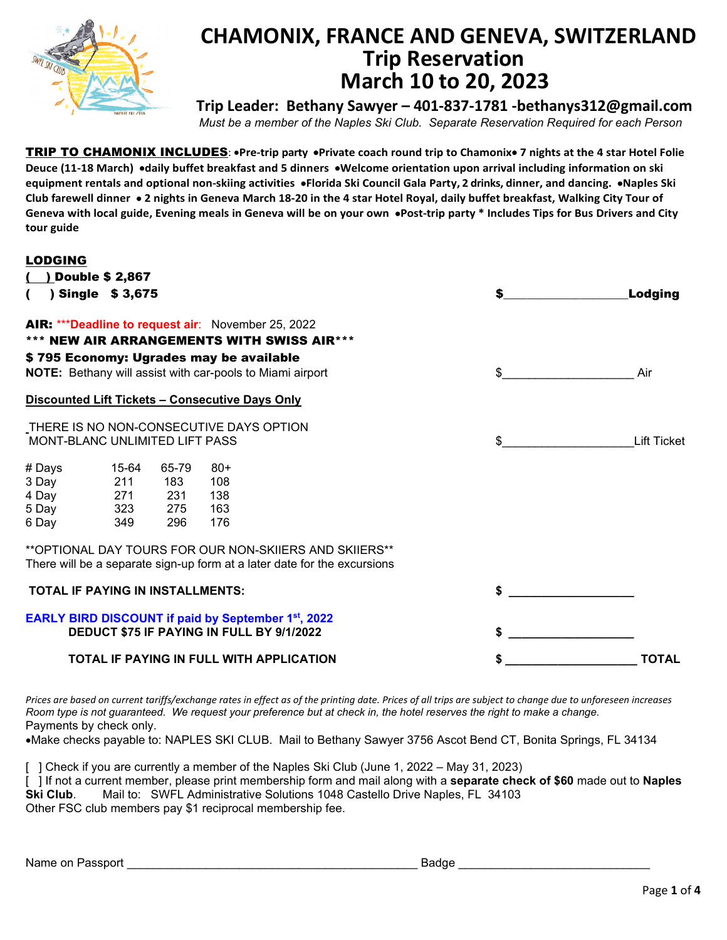

# **CHAMONIX, FRANCE AND GENEVA, SWITZERLAND March 10 to 20, 2023**<br>Trip Leader: Bethany Sawyer – 401-837-1781 -bethanys312@gmail.com

*Must be a member of the Naples Ski Club. Separate Reservation Required for each Person*

TRIP TO CHAMONIX INCLUDES: •**Pre-trip party** •**Private coach round trip to Chamonix**• **7 nights at the 4 star Hotel Folie Deuce (11-18 March)** •**daily buffet breakfast and 5 dinners** •**Welcome orientation upon arrival including information on ski equipment rentals and optional non-skiing activities** •**Florida Ski Council Gala Party, 2 drinks, dinner, and dancing.** •**Naples Ski Club farewell dinner** • **2 nights in Geneva March 18-20 in the 4 star Hotel Royal, daily buffet breakfast, Walking City Tour of Geneva with local guide, Evening meals in Geneva will be on your own** •**Post-trip party \* Includes Tips for Bus Drivers and City tour guide**

| <b>LODGING</b>                                  | <b>Double \$ 2,867</b><br>Single \$3,675                                  |                                   |                                     |                                                                                                                                                                              | S. | Lodging            |
|-------------------------------------------------|---------------------------------------------------------------------------|-----------------------------------|-------------------------------------|------------------------------------------------------------------------------------------------------------------------------------------------------------------------------|----|--------------------|
|                                                 | \$795 Economy: Ugrades may be available                                   |                                   |                                     | <b>AIR:</b> *** Deadline to request air: November 25, 2022<br>*** NEW AIR ARRANGEMENTS WITH SWISS AIR***<br><b>NOTE:</b> Bethany will assist with car-pools to Miami airport |    | Air                |
|                                                 | Discounted Lift Tickets - Consecutive Days Only                           |                                   |                                     |                                                                                                                                                                              |    |                    |
|                                                 | THERE IS NO NON-CONSECUTIVE DAYS OPTION<br>MONT-BLANC UNLIMITED LIFT PASS |                                   |                                     |                                                                                                                                                                              | \$ | <b>Lift Ticket</b> |
| # Days<br>3 Day 211<br>4 Day<br>5 Day<br>6 Day  | 15-64<br>271<br>323<br>349                                                | 65-79<br>183<br>231<br>275<br>296 | $80+$<br>108<br>138<br>- 163<br>176 |                                                                                                                                                                              |    |                    |
|                                                 |                                                                           |                                   |                                     | **OPTIONAL DAY TOURS FOR OUR NON-SKIIERS AND SKIIERS**<br>There will be a separate sign-up form at a later date for the excursions                                           |    |                    |
| <b>TOTAL IF PAYING IN INSTALLMENTS:</b>         |                                                                           |                                   |                                     |                                                                                                                                                                              |    |                    |
|                                                 |                                                                           |                                   |                                     | <b>EARLY BIRD DISCOUNT if paid by September 1st, 2022</b><br>DEDUCT \$75 IF PAYING IN FULL BY 9/1/2022                                                                       | \$ |                    |
| <b>TOTAL IF PAYING IN FULL WITH APPLICATION</b> |                                                                           |                                   |                                     |                                                                                                                                                                              |    | <b>TOTAL</b>       |

*Prices are based on current tariffs/exchange rates in effect as of the printing date. Prices of all trips are subject to change due to unforeseen increases Room type is not guaranteed. We request your preference but at check in, the hotel reserves the right to make a change.* Payments by check only.

•Make checks payable to: NAPLES SKI CLUB. Mail to Bethany Sawyer 3756 Ascot Bend CT, Bonita Springs, FL 34134

[ ] Check if you are currently a member of the Naples Ski Club (June 1, 2022 – May 31, 2023) [ ] If not a current member, please print membership form and mail along with a **separate check of \$60** made out to **Naples Ski Club**. Mail to: SWFL Administrative Solutions 1048 Castello Drive Naples, FL 34103 Other FSC club members pay \$1 reciprocal membership fee.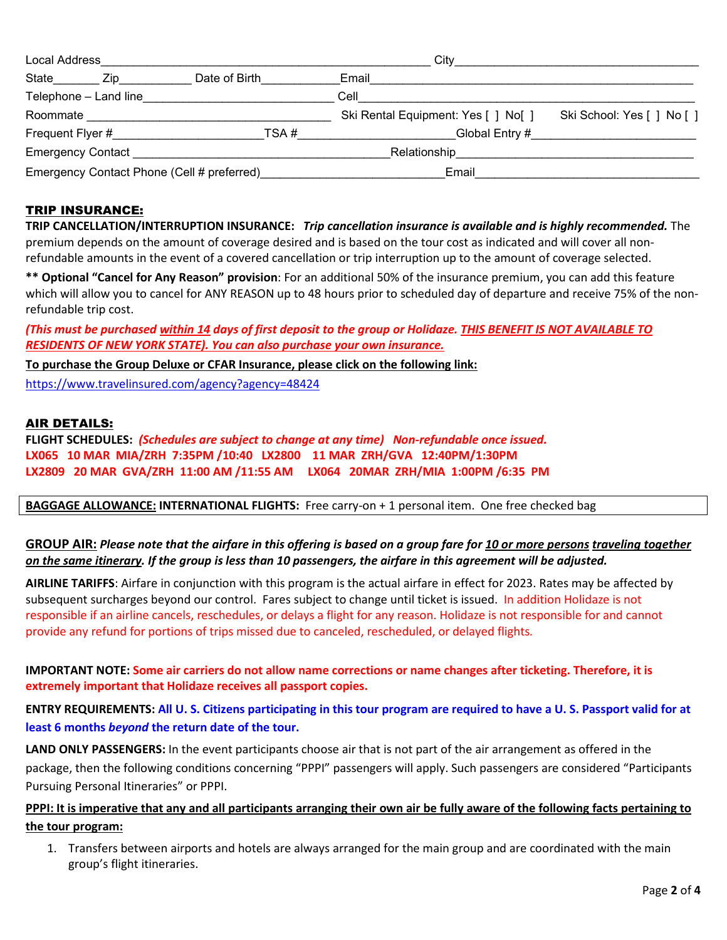| Local Address             |                       |                                            | City                                |                            |  |  |
|---------------------------|-----------------------|--------------------------------------------|-------------------------------------|----------------------------|--|--|
| State                     | Zip                   | Date of Birth                              | Email                               |                            |  |  |
|                           | Telephone - Land line |                                            | Cell                                |                            |  |  |
| Roommate                  |                       |                                            | Ski Rental Equipment: Yes [ ] No[ ] | Ski School: Yes [ ] No [ ] |  |  |
| Frequent Flyer #<br>TSA # |                       |                                            | Global Entry #                      |                            |  |  |
| <b>Emergency Contact</b>  |                       |                                            | Relationship                        |                            |  |  |
|                           |                       | Emergency Contact Phone (Cell # preferred) | Email                               |                            |  |  |

#### TRIP INSURANCE:

**TRIP CANCELLATION/INTERRUPTION INSURANCE:** *Trip cancellation insurance is available and is highly recommended.* The premium depends on the amount of coverage desired and is based on the tour cost as indicated and will cover all nonrefundable amounts in the event of a covered cancellation or trip interruption up to the amount of coverage selected.

**\*\* Optional "Cancel for Any Reason" provision**: For an additional 50% of the insurance premium, you can add this feature which will allow you to cancel for ANY REASON up to 48 hours prior to scheduled day of departure and receive 75% of the nonrefundable trip cost.

*(This must be purchased within 14 days of first deposit to the group or Holidaze. THIS BENEFIT IS NOT AVAILABLE TO RESIDENTS OF NEW YORK STATE). You can also purchase your own insurance.*

**To purchase the Group Deluxe or CFAR Insurance, please click on the following link:**

<https://www.travelinsured.com/agency?agency=48424>

## AIR DETAILS:

**FLIGHT SCHEDULES:** *(Schedules are subject to change at any time) Non-refundable once issued.* **LX065 10 MAR MIA/ZRH 7:35PM /10:40 LX2800 11 MAR ZRH/GVA 12:40PM/1:30PM LX2809 20 MAR GVA/ZRH 11:00 AM /11:55 AM LX064 20MAR ZRH/MIA 1:00PM /6:35 PM** 

**BAGGAGE ALLOWANCE: INTERNATIONAL FLIGHTS:** Free carry-on + 1 personal item. One free checked bag

#### **GROUP AIR:** *Please note that the airfare in this offering is based on a group fare for 10 or more persons traveling together on the same itinerary. If the group is less than 10 passengers, the airfare in this agreement will be adjusted.*

**AIRLINE TARIFFS**: Airfare in conjunction with this program is the actual airfare in effect for 2023. Rates may be affected by subsequent surcharges beyond our control. Fares subject to change until ticket is issued. In addition Holidaze is not responsible if an airline cancels, reschedules, or delays a flight for any reason. Holidaze is not responsible for and cannot provide any refund for portions of trips missed due to canceled, rescheduled, or delayed flights*.*

**IMPORTANT NOTE: Some air carriers do not allow name corrections or name changes after ticketing. Therefore, it is extremely important that Holidaze receives all passport copies.**

**ENTRY REQUIREMENTS: All U. S. Citizens participating in this tour program are required to have a U. S. Passport valid for at least 6 months** *beyond* **the return date of the tour.** 

**LAND ONLY PASSENGERS:** In the event participants choose air that is not part of the air arrangement as offered in the package, then the following conditions concerning "PPPI" passengers will apply. Such passengers are considered "Participants Pursuing Personal Itineraries" or PPPI.

# **PPPI: It is imperative that any and all participants arranging their own air be fully aware of the following facts pertaining to the tour program:**

1. Transfers between airports and hotels are always arranged for the main group and are coordinated with the main group's flight itineraries.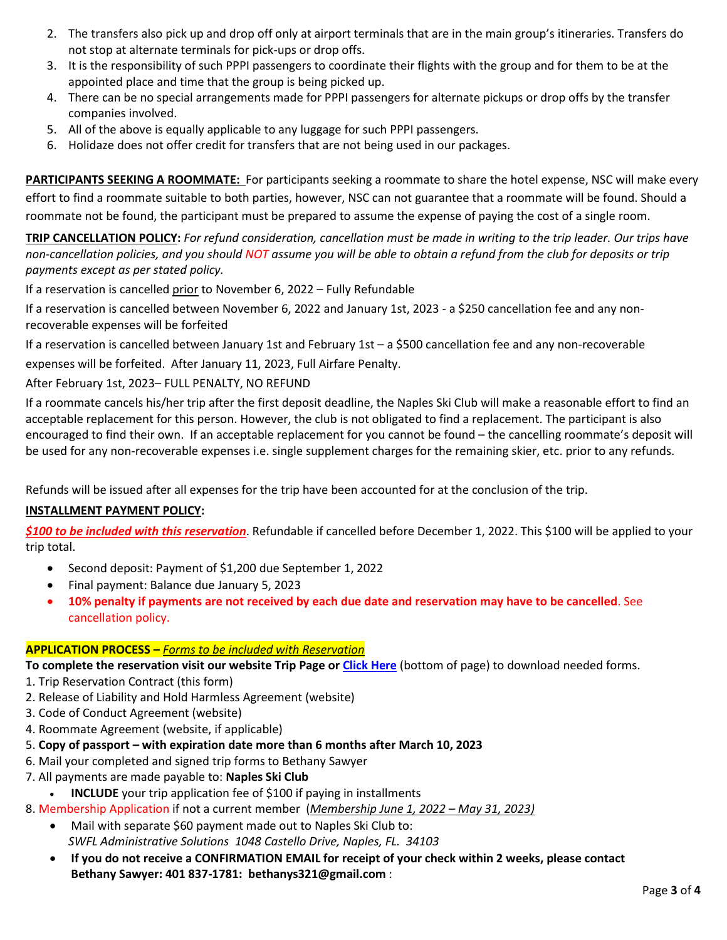- 2. The transfers also pick up and drop off only at airport terminals that are in the main group's itineraries. Transfers do not stop at alternate terminals for pick-ups or drop offs.
- 3. It is the responsibility of such PPPI passengers to coordinate their flights with the group and for them to be at the appointed place and time that the group is being picked up.
- 4. There can be no special arrangements made for PPPI passengers for alternate pickups or drop offs by the transfer companies involved.
- 5. All of the above is equally applicable to any luggage for such PPPI passengers.
- 6. Holidaze does not offer credit for transfers that are not being used in our packages.

**PARTICIPANTS SEEKING A ROOMMATE:** For participants seeking a roommate to share the hotel expense, NSC will make every effort to find a roommate suitable to both parties, however, NSC can not guarantee that a roommate will be found. Should a roommate not be found, the participant must be prepared to assume the expense of paying the cost of a single room.

**TRIP CANCELLATION POLICY:** *For refund consideration, cancellation must be made in writing to the trip leader. Our trips have non-cancellation policies, and you should NOT assume you will be able to obtain a refund from the club for deposits or trip payments except as per stated policy.*

If a reservation is cancelled prior to November 6, 2022 - Fully Refundable

If a reservation is cancelled between November 6, 2022 and January 1st, 2023 - a \$250 cancellation fee and any nonrecoverable expenses will be forfeited

If a reservation is cancelled between January 1st and February 1st – a \$500 cancellation fee and any non-recoverable

expenses will be forfeited. After January 11, 2023, Full Airfare Penalty.

After February 1st, 2023– FULL PENALTY, NO REFUND

If a roommate cancels his/her trip after the first deposit deadline, the Naples Ski Club will make a reasonable effort to find an acceptable replacement for this person. However, the club is not obligated to find a replacement. The participant is also encouraged to find their own. If an acceptable replacement for you cannot be found – the cancelling roommate's deposit will be used for any non-recoverable expenses i.e. single supplement charges for the remaining skier, etc. prior to any refunds.

Refunds will be issued after all expenses for the trip have been accounted for at the conclusion of the trip.

#### **INSTALLMENT PAYMENT POLICY:**

*\$100 to be included with this reservation*. Refundable if cancelled before December 1, 2022. This \$100 will be applied to your trip total.

- Second deposit: Payment of \$1,200 due September 1, 2022
- Final payment: Balance due January 5, 2023
- **10% penalty if payments are not received by each due date and reservation may have to be cancelled**. See cancellation policy.

## **APPLICATION PROCESS –** *Forms to be included with Reservation*

**To complete the reservation visit our website Trip Page or [Click Here](https://www.swflskiclub.com/Ski-Trips.html)** (bottom of page) to download needed forms.

- 1. Trip Reservation Contract (this form)
- 2. Release of Liability and Hold Harmless Agreement (website)
- 3. Code of Conduct Agreement (website)
- 4. Roommate Agreement (website, if applicable)
- 5. **Copy of passport with expiration date more than 6 months after March 10, 2023**
- 6. Mail your completed and signed trip forms to Bethany Sawyer
- 7. All payments are made payable to: **Naples Ski Club** 
	- **INCLUDE** your trip application fee of \$100 if paying in installments
- 8. Membership Application if not a current member (*Membership June 1, 2022 May 31, 2023)* 
	- Mail with separate \$60 payment made out to Naples Ski Club to: *SWFL Administrative Solutions 1048 Castello Drive, Naples, FL. 34103*
	- **If you do not receive a CONFIRMATION EMAIL for receipt of your check within 2 weeks, please contact Bethany Sawyer: 401 837-1781: bethanys321@gmail.com** :